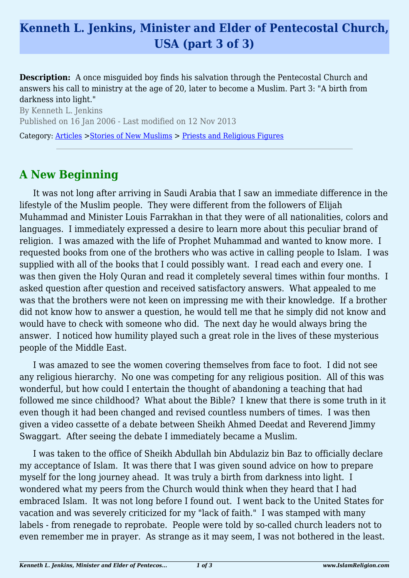## **Kenneth L. Jenkins, Minister and Elder of Pentecostal Church, USA (part 3 of 3)**

**Description:** A once misquided boy finds his salvation through the Pentecostal Church and answers his call to ministry at the age of 20, later to become a Muslim. Part 3: "A birth from darkness into light."

By Kenneth L. Jenkins Published on 16 Jan 2006 - Last modified on 12 Nov 2013 Category: [Articles](http://www.islamreligion.com/articles/) >[Stories of New Muslims](http://www.islamreligion.com/category/63/) > [Priests and Religious Figures](http://www.islamreligion.com/category/66/)

## **A New Beginning**

It was not long after arriving in Saudi Arabia that I saw an immediate difference in the lifestyle of the Muslim people. They were different from the followers of Elijah Muhammad and Minister Louis Farrakhan in that they were of all nationalities, colors and languages. I immediately expressed a desire to learn more about this peculiar brand of religion. I was amazed with the life of Prophet Muhammad and wanted to know more. I requested books from one of the brothers who was active in calling people to Islam. I was supplied with all of the books that I could possibly want. I read each and every one. I was then given the Holy Quran and read it completely several times within four months. I asked question after question and received satisfactory answers. What appealed to me was that the brothers were not keen on impressing me with their knowledge. If a brother did not know how to answer a question, he would tell me that he simply did not know and would have to check with someone who did. The next day he would always bring the answer. I noticed how humility played such a great role in the lives of these mysterious people of the Middle East.

I was amazed to see the women covering themselves from face to foot. I did not see any religious hierarchy. No one was competing for any religious position. All of this was wonderful, but how could I entertain the thought of abandoning a teaching that had followed me since childhood? What about the Bible? I knew that there is some truth in it even though it had been changed and revised countless numbers of times. I was then given a video cassette of a debate between Sheikh Ahmed Deedat and Reverend Jimmy Swaggart. After seeing the debate I immediately became a Muslim.

I was taken to the office of Sheikh Abdullah bin Abdulaziz bin Baz to officially declare my acceptance of Islam. It was there that I was given sound advice on how to prepare myself for the long journey ahead. It was truly a birth from darkness into light. I wondered what my peers from the Church would think when they heard that I had embraced Islam. It was not long before I found out. I went back to the United States for vacation and was severely criticized for my "lack of faith." I was stamped with many labels - from renegade to reprobate. People were told by so-called church leaders not to even remember me in prayer. As strange as it may seem, I was not bothered in the least.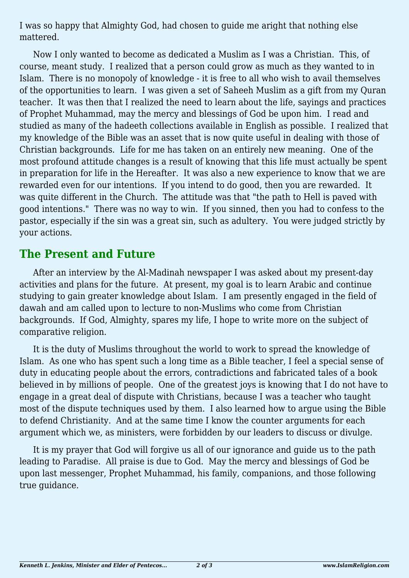I was so happy that Almighty God, had chosen to guide me aright that nothing else mattered.

Now I only wanted to become as dedicated a Muslim as I was a Christian. This, of course, meant study. I realized that a person could grow as much as they wanted to in Islam. There is no monopoly of knowledge - it is free to all who wish to avail themselves of the opportunities to learn. I was given a set of Saheeh Muslim as a gift from my Quran teacher. It was then that I realized the need to learn about the life, sayings and practices of Prophet Muhammad, may the mercy and blessings of God be upon him. I read and studied as many of the hadeeth collections available in English as possible. I realized that my knowledge of the Bible was an asset that is now quite useful in dealing with those of Christian backgrounds. Life for me has taken on an entirely new meaning. One of the most profound attitude changes is a result of knowing that this life must actually be spent in preparation for life in the Hereafter. It was also a new experience to know that we are rewarded even for our intentions. If you intend to do good, then you are rewarded. It was quite different in the Church. The attitude was that "the path to Hell is paved with good intentions." There was no way to win. If you sinned, then you had to confess to the pastor, especially if the sin was a great sin, such as adultery. You were judged strictly by your actions.

## **The Present and Future**

After an interview by the Al-Madinah newspaper I was asked about my present-day activities and plans for the future. At present, my goal is to learn Arabic and continue studying to gain greater knowledge about Islam. I am presently engaged in the field of dawah and am called upon to lecture to non-Muslims who come from Christian backgrounds. If God, Almighty, spares my life, I hope to write more on the subject of comparative religion.

It is the duty of Muslims throughout the world to work to spread the knowledge of Islam. As one who has spent such a long time as a Bible teacher, I feel a special sense of duty in educating people about the errors, contradictions and fabricated tales of a book believed in by millions of people. One of the greatest joys is knowing that I do not have to engage in a great deal of dispute with Christians, because I was a teacher who taught most of the dispute techniques used by them. I also learned how to argue using the Bible to defend Christianity. And at the same time I know the counter arguments for each argument which we, as ministers, were forbidden by our leaders to discuss or divulge.

It is my prayer that God will forgive us all of our ignorance and guide us to the path leading to Paradise. All praise is due to God. May the mercy and blessings of God be upon last messenger, Prophet Muhammad, his family, companions, and those following true guidance.